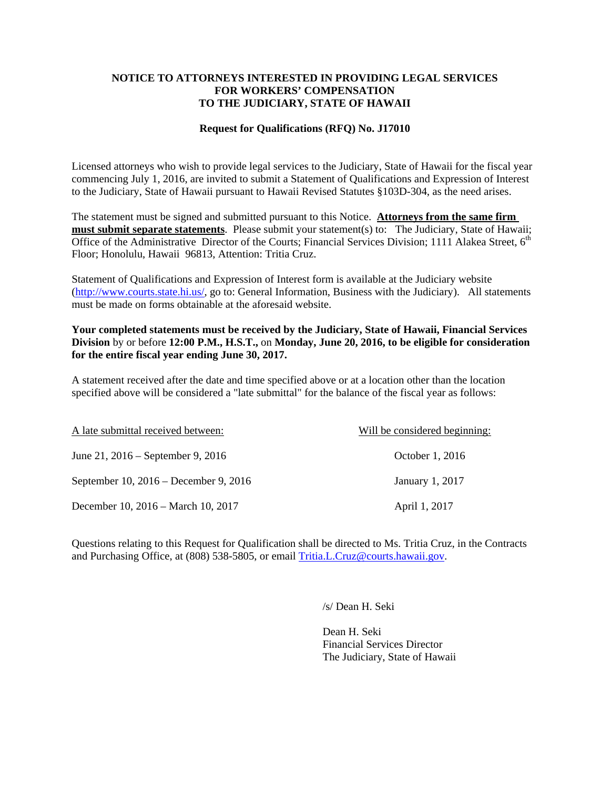#### **NOTICE TO ATTORNEYS INTERESTED IN PROVIDING LEGAL SERVICES FOR WORKERS' COMPENSATION TO THE JUDICIARY, STATE OF HAWAII**

### **Request for Qualifications (RFQ) No. J17010**

Licensed attorneys who wish to provide legal services to the Judiciary, State of Hawaii for the fiscal year commencing July 1, 2016, are invited to submit a Statement of Qualifications and Expression of Interest to the Judiciary, State of Hawaii pursuant to Hawaii Revised Statutes §103D-304, as the need arises.

The statement must be signed and submitted pursuant to this Notice. **Attorneys from the same firm must submit separate statements**. Please submit your statement(s) to: The Judiciary, State of Hawaii; Office of the Administrative Director of the Courts: Financial Services Division; 1111 Alakea Street, 6<sup>th</sup> Floor; Honolulu, Hawaii 96813, Attention: Tritia Cruz.

Statement of Qualifications and Expression of Interest form is available at the Judiciary website (http://www.courts.state.hi.us/, go to: General Information, Business with the Judiciary). All statements must be made on forms obtainable at the aforesaid website.

## **Your completed statements must be received by the Judiciary, State of Hawaii, Financial Services Division** by or before **12:00 P.M., H.S.T.,** on **Monday, June 20, 2016, to be eligible for consideration for the entire fiscal year ending June 30, 2017.**

A statement received after the date and time specified above or at a location other than the location specified above will be considered a "late submittal" for the balance of the fiscal year as follows:

| A late submittal received between:    | Will be considered beginning: |
|---------------------------------------|-------------------------------|
| June 21, 2016 – September 9, 2016     | October 1, 2016               |
| September 10, 2016 – December 9, 2016 | January 1, 2017               |
| December 10, 2016 – March 10, 2017    | April 1, 2017                 |

Questions relating to this Request for Qualification shall be directed to Ms. Tritia Cruz, in the Contracts and Purchasing Office, at (808) 538-5805, or email Tritia.L.Cruz@courts.hawaii.gov.

/s/ Dean H. Seki

 Dean H. Seki Financial Services Director The Judiciary, State of Hawaii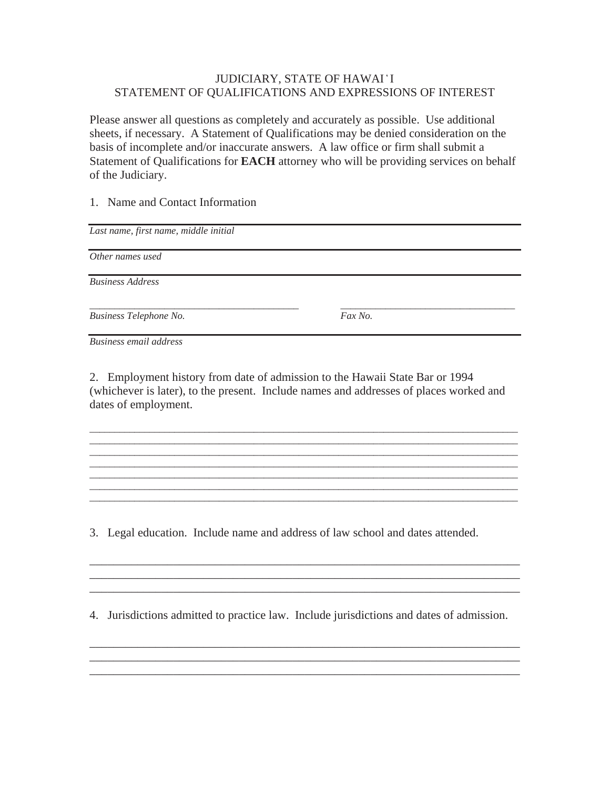# STATEMENT OF QUALIFICATIONS AND EXPRESSIONS OF INTEREST JUDICIARY, STATE OF HAWAI 'I

Please answer all questions as completely and accurately as possible. Use additional sheets, if necessary. A Statement of Qualifications may be denied consideration on the basis of incomplete and/or inaccurate answers. A law office or firm shall submit a Statement of Qualifications for **EACH** attorney who will be providing services on behalf of the Judiciary.

## 1. Name and Contact Information

*Last name, first name, middle initial* 

*Other names used* 

*Business Address* 

*Business Telephone No. Fax No.* 

*\_\_\_\_\_\_\_\_\_\_\_\_\_\_\_\_\_\_\_\_\_\_\_\_\_\_\_\_\_\_\_\_\_\_\_\_\_\_\_\_\_\_ \_\_\_\_\_\_\_\_\_\_\_\_\_\_\_\_\_\_\_\_\_\_\_\_\_\_\_\_\_\_\_\_\_\_\_* 

*Business email address* 

2. Employment history from date of admission to the Hawaii State Bar or 1994 (whichever is later), to the present. Include names and addresses of places worked and dates of employment.

\_\_\_\_\_\_\_\_\_\_\_\_\_\_\_\_\_\_\_\_\_\_\_\_\_\_\_\_\_\_\_\_\_\_\_\_\_\_\_\_\_\_\_\_\_\_\_\_\_\_\_\_\_\_\_\_\_\_\_\_\_\_\_\_\_\_\_\_\_\_\_\_\_\_\_\_\_\_\_\_\_\_\_\_\_\_ \_\_\_\_\_\_\_\_\_\_\_\_\_\_\_\_\_\_\_\_\_\_\_\_\_\_\_\_\_\_\_\_\_\_\_\_\_\_\_\_\_\_\_\_\_\_\_\_\_\_\_\_\_\_\_\_\_\_\_\_\_\_\_\_\_\_\_\_\_\_\_\_\_\_\_\_\_\_\_\_\_\_\_\_\_\_ \_\_\_\_\_\_\_\_\_\_\_\_\_\_\_\_\_\_\_\_\_\_\_\_\_\_\_\_\_\_\_\_\_\_\_\_\_\_\_\_\_\_\_\_\_\_\_\_\_\_\_\_\_\_\_\_\_\_\_\_\_\_\_\_\_\_\_\_\_\_\_\_\_\_\_\_\_\_\_\_\_\_\_\_\_\_ \_\_\_\_\_\_\_\_\_\_\_\_\_\_\_\_\_\_\_\_\_\_\_\_\_\_\_\_\_\_\_\_\_\_\_\_\_\_\_\_\_\_\_\_\_\_\_\_\_\_\_\_\_\_\_\_\_\_\_\_\_\_\_\_\_\_\_\_\_\_\_\_\_\_\_\_\_\_\_\_\_\_\_\_\_\_ \_\_\_\_\_\_\_\_\_\_\_\_\_\_\_\_\_\_\_\_\_\_\_\_\_\_\_\_\_\_\_\_\_\_\_\_\_\_\_\_\_\_\_\_\_\_\_\_\_\_\_\_\_\_\_\_\_\_\_\_\_\_\_\_\_\_\_\_\_\_\_\_\_\_\_\_\_\_\_\_\_\_\_\_\_\_ \_\_\_\_\_\_\_\_\_\_\_\_\_\_\_\_\_\_\_\_\_\_\_\_\_\_\_\_\_\_\_\_\_\_\_\_\_\_\_\_\_\_\_\_\_\_\_\_\_\_\_\_\_\_\_\_\_\_\_\_\_\_\_\_\_\_\_\_\_\_\_\_\_\_\_\_\_\_\_\_\_\_\_\_\_\_ \_\_\_\_\_\_\_\_\_\_\_\_\_\_\_\_\_\_\_\_\_\_\_\_\_\_\_\_\_\_\_\_\_\_\_\_\_\_\_\_\_\_\_\_\_\_\_\_\_\_\_\_\_\_\_\_\_\_\_\_\_\_\_\_\_\_\_\_\_\_\_\_\_\_\_\_\_\_\_\_\_\_\_\_\_\_

3. Legal education. Include name and address of law school and dates attended.

4. Jurisdictions admitted to practice law. Include jurisdictions and dates of admission.

\_\_\_\_\_\_\_\_\_\_\_\_\_\_\_\_\_\_\_\_\_\_\_\_\_\_\_\_\_\_\_\_\_\_\_\_\_\_\_\_\_\_\_\_\_\_\_\_\_\_\_\_\_\_\_\_\_\_\_\_\_\_\_\_\_\_\_\_\_\_\_\_ \_\_\_\_\_\_\_\_\_\_\_\_\_\_\_\_\_\_\_\_\_\_\_\_\_\_\_\_\_\_\_\_\_\_\_\_\_\_\_\_\_\_\_\_\_\_\_\_\_\_\_\_\_\_\_\_\_\_\_\_\_\_\_\_\_\_\_\_\_\_\_\_ \_\_\_\_\_\_\_\_\_\_\_\_\_\_\_\_\_\_\_\_\_\_\_\_\_\_\_\_\_\_\_\_\_\_\_\_\_\_\_\_\_\_\_\_\_\_\_\_\_\_\_\_\_\_\_\_\_\_\_\_\_\_\_\_\_\_\_\_\_\_\_\_

\_\_\_\_\_\_\_\_\_\_\_\_\_\_\_\_\_\_\_\_\_\_\_\_\_\_\_\_\_\_\_\_\_\_\_\_\_\_\_\_\_\_\_\_\_\_\_\_\_\_\_\_\_\_\_\_\_\_\_\_\_\_\_\_\_\_\_\_\_\_\_\_ \_\_\_\_\_\_\_\_\_\_\_\_\_\_\_\_\_\_\_\_\_\_\_\_\_\_\_\_\_\_\_\_\_\_\_\_\_\_\_\_\_\_\_\_\_\_\_\_\_\_\_\_\_\_\_\_\_\_\_\_\_\_\_\_\_\_\_\_\_\_\_\_ \_\_\_\_\_\_\_\_\_\_\_\_\_\_\_\_\_\_\_\_\_\_\_\_\_\_\_\_\_\_\_\_\_\_\_\_\_\_\_\_\_\_\_\_\_\_\_\_\_\_\_\_\_\_\_\_\_\_\_\_\_\_\_\_\_\_\_\_\_\_\_\_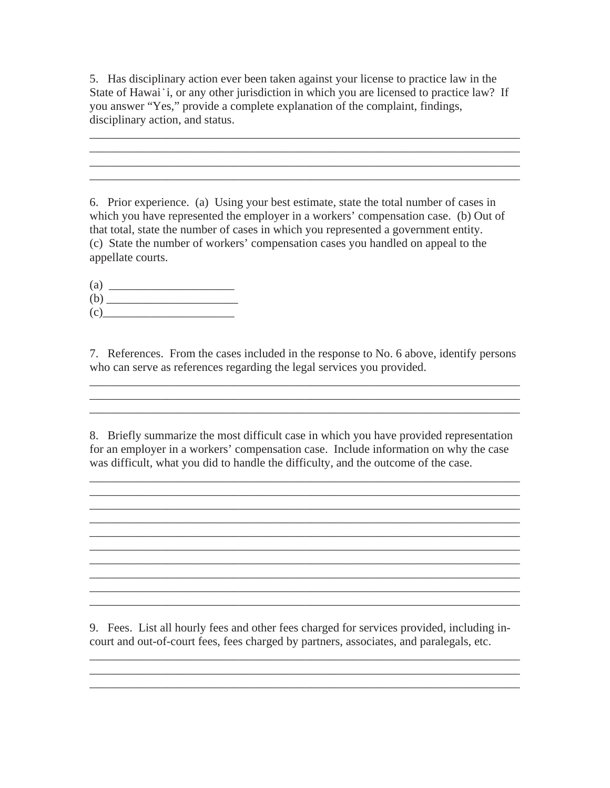5. Has disciplinary action ever been taken against your license to practice law in the State of Hawai 'i, or any other jurisdiction in which you are licensed to practice law? If you answer "Yes," provide a complete explanation of the complaint, findings, disciplinary action, and status.

\_\_\_\_\_\_\_\_\_\_\_\_\_\_\_\_\_\_\_\_\_\_\_\_\_\_\_\_\_\_\_\_\_\_\_\_\_\_\_\_\_\_\_\_\_\_\_\_\_\_\_\_\_\_\_\_\_\_\_\_\_\_\_\_\_\_\_\_\_\_\_\_

\_\_\_\_\_\_\_\_\_\_\_\_\_\_\_\_\_\_\_\_\_\_\_\_\_\_\_\_\_\_\_\_\_\_\_\_\_\_\_\_\_\_\_\_\_\_\_\_\_\_\_\_\_\_\_\_\_\_\_\_\_\_\_\_\_\_\_\_\_\_\_\_

6. Prior experience. (a) Using your best estimate, state the total number of cases in which you have represented the employer in a workers' compensation case. (b) Out of that total, state the number of cases in which you represented a government entity. (c) State the number of workers' compensation cases you handled on appeal to the appellate courts.

 $\left( \text{a} \right)$ (b) \_\_\_\_\_\_\_\_\_\_\_\_\_\_\_\_\_\_\_\_\_\_  $(c)$ 

7. References. From the cases included in the response to No. 6 above, identify persons who can serve as references regarding the legal services you provided.

\_\_\_\_\_\_\_\_\_\_\_\_\_\_\_\_\_\_\_\_\_\_\_\_\_\_\_\_\_\_\_\_\_\_\_\_\_\_\_\_\_\_\_\_\_\_\_\_\_\_\_\_\_\_\_\_\_\_\_\_\_\_\_\_\_\_\_\_\_\_\_\_ \_\_\_\_\_\_\_\_\_\_\_\_\_\_\_\_\_\_\_\_\_\_\_\_\_\_\_\_\_\_\_\_\_\_\_\_\_\_\_\_\_\_\_\_\_\_\_\_\_\_\_\_\_\_\_\_\_\_\_\_\_\_\_\_\_\_\_\_\_\_\_\_

8. Briefly summarize the most difficult case in which you have provided representation for an employer in a workers' compensation case. Include information on why the case was difficult, what you did to handle the difficulty, and the outcome of the case.

\_\_\_\_\_\_\_\_\_\_\_\_\_\_\_\_\_\_\_\_\_\_\_\_\_\_\_\_\_\_\_\_\_\_\_\_\_\_\_\_\_\_\_\_\_\_\_\_\_\_\_\_\_\_\_\_\_\_\_\_\_\_\_\_\_\_\_\_\_\_\_\_  $\_$  ,  $\_$  ,  $\_$  ,  $\_$  ,  $\_$  ,  $\_$  ,  $\_$  ,  $\_$  ,  $\_$  ,  $\_$  ,  $\_$  ,  $\_$  ,  $\_$  ,  $\_$  ,  $\_$  ,  $\_$  ,  $\_$  ,  $\_$  ,  $\_$  ,  $\_$  ,  $\_$  ,  $\_$  ,  $\_$  ,  $\_$  ,  $\_$  ,  $\_$  ,  $\_$  ,  $\_$  ,  $\_$  ,  $\_$  ,  $\_$  ,  $\_$  ,  $\_$  ,  $\_$  ,  $\_$  ,  $\_$  ,  $\_$  ,  $\_$  ,  $\_$  ,  $\_$  ,  $\_$  ,  $\_$  ,  $\_$  ,  $\_$  ,  $\_$  ,  $\_$  ,  $\_$  ,  $\_$  ,  $\_$  ,  $\_$  ,  $\_$  ,  $\_$  ,  $\_$  ,  $\_$  ,  $\_$  ,  $\_$  ,  $\_$  $\mathcal{L}_\mathcal{L} = \mathcal{L}_\mathcal{L} = \mathcal{L}_\mathcal{L} = \mathcal{L}_\mathcal{L} = \mathcal{L}_\mathcal{L} = \mathcal{L}_\mathcal{L} = \mathcal{L}_\mathcal{L} = \mathcal{L}_\mathcal{L} = \mathcal{L}_\mathcal{L} = \mathcal{L}_\mathcal{L} = \mathcal{L}_\mathcal{L} = \mathcal{L}_\mathcal{L} = \mathcal{L}_\mathcal{L} = \mathcal{L}_\mathcal{L} = \mathcal{L}_\mathcal{L} = \mathcal{L}_\mathcal{L} = \mathcal{L}_\mathcal{L}$ \_\_\_\_\_\_\_\_\_\_\_\_\_\_\_\_\_\_\_\_\_\_\_\_\_\_\_\_\_\_\_\_\_\_\_\_\_\_\_\_\_\_\_\_\_\_\_\_\_\_\_\_\_\_\_\_\_\_\_\_\_\_\_\_\_\_\_\_\_\_\_\_

\_\_\_\_\_\_\_\_\_\_\_\_\_\_\_\_\_\_\_\_\_\_\_\_\_\_\_\_\_\_\_\_\_\_\_\_\_\_\_\_\_\_\_\_\_\_\_\_\_\_\_\_\_\_\_\_\_\_\_\_\_\_\_\_\_\_\_\_\_\_\_\_

\_\_\_\_\_\_\_\_\_\_\_\_\_\_\_\_\_\_\_\_\_\_\_\_\_\_\_\_\_\_\_\_\_\_\_\_\_\_\_\_\_\_\_\_\_\_\_\_\_\_\_\_\_\_\_\_\_\_\_\_\_\_\_\_\_\_\_\_\_\_\_\_ \_\_\_\_\_\_\_\_\_\_\_\_\_\_\_\_\_\_\_\_\_\_\_\_\_\_\_\_\_\_\_\_\_\_\_\_\_\_\_\_\_\_\_\_\_\_\_\_\_\_\_\_\_\_\_\_\_\_\_\_\_\_\_\_\_\_\_\_\_\_\_\_

 $\mathcal{L}_\mathcal{L} = \{ \mathcal{L}_\mathcal{L} = \{ \mathcal{L}_\mathcal{L} = \{ \mathcal{L}_\mathcal{L} = \{ \mathcal{L}_\mathcal{L} = \{ \mathcal{L}_\mathcal{L} = \{ \mathcal{L}_\mathcal{L} = \{ \mathcal{L}_\mathcal{L} = \{ \mathcal{L}_\mathcal{L} = \{ \mathcal{L}_\mathcal{L} = \{ \mathcal{L}_\mathcal{L} = \{ \mathcal{L}_\mathcal{L} = \{ \mathcal{L}_\mathcal{L} = \{ \mathcal{L}_\mathcal{L} = \{ \mathcal{L}_\mathcal{$ 

 $\mathcal{L}_\text{max} = \mathcal{L}_\text{max} = \mathcal{L}_\text{max} = \mathcal{L}_\text{max} = \mathcal{L}_\text{max} = \mathcal{L}_\text{max} = \mathcal{L}_\text{max} = \mathcal{L}_\text{max} = \mathcal{L}_\text{max} = \mathcal{L}_\text{max} = \mathcal{L}_\text{max} = \mathcal{L}_\text{max} = \mathcal{L}_\text{max} = \mathcal{L}_\text{max} = \mathcal{L}_\text{max} = \mathcal{L}_\text{max} = \mathcal{L}_\text{max} = \mathcal{L}_\text{max} = \mathcal{$ 

9. Fees. List all hourly fees and other fees charged for services provided, including incourt and out-of-court fees, fees charged by partners, associates, and paralegals, etc.

\_\_\_\_\_\_\_\_\_\_\_\_\_\_\_\_\_\_\_\_\_\_\_\_\_\_\_\_\_\_\_\_\_\_\_\_\_\_\_\_\_\_\_\_\_\_\_\_\_\_\_\_\_\_\_\_\_\_\_\_\_\_\_\_\_\_\_\_\_\_\_\_ \_\_\_\_\_\_\_\_\_\_\_\_\_\_\_\_\_\_\_\_\_\_\_\_\_\_\_\_\_\_\_\_\_\_\_\_\_\_\_\_\_\_\_\_\_\_\_\_\_\_\_\_\_\_\_\_\_\_\_\_\_\_\_\_\_\_\_\_\_\_\_\_